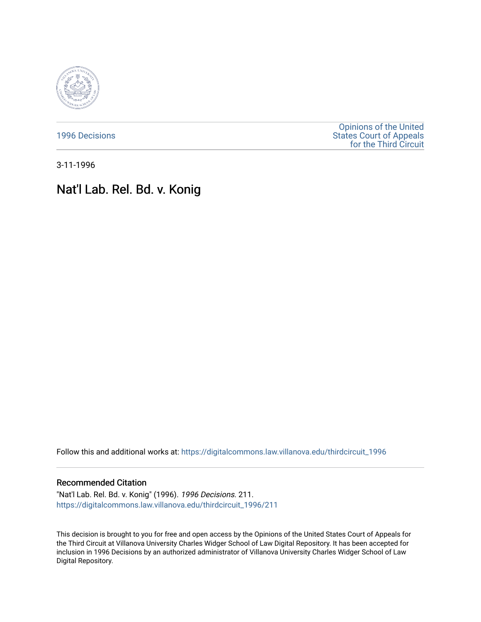

[1996 Decisions](https://digitalcommons.law.villanova.edu/thirdcircuit_1996)

[Opinions of the United](https://digitalcommons.law.villanova.edu/thirdcircuit)  [States Court of Appeals](https://digitalcommons.law.villanova.edu/thirdcircuit)  [for the Third Circuit](https://digitalcommons.law.villanova.edu/thirdcircuit) 

3-11-1996

# Nat'l Lab. Rel. Bd. v. Konig

Follow this and additional works at: [https://digitalcommons.law.villanova.edu/thirdcircuit\\_1996](https://digitalcommons.law.villanova.edu/thirdcircuit_1996?utm_source=digitalcommons.law.villanova.edu%2Fthirdcircuit_1996%2F211&utm_medium=PDF&utm_campaign=PDFCoverPages) 

# Recommended Citation

"Nat'l Lab. Rel. Bd. v. Konig" (1996). 1996 Decisions. 211. [https://digitalcommons.law.villanova.edu/thirdcircuit\\_1996/211](https://digitalcommons.law.villanova.edu/thirdcircuit_1996/211?utm_source=digitalcommons.law.villanova.edu%2Fthirdcircuit_1996%2F211&utm_medium=PDF&utm_campaign=PDFCoverPages)

This decision is brought to you for free and open access by the Opinions of the United States Court of Appeals for the Third Circuit at Villanova University Charles Widger School of Law Digital Repository. It has been accepted for inclusion in 1996 Decisions by an authorized administrator of Villanova University Charles Widger School of Law Digital Repository.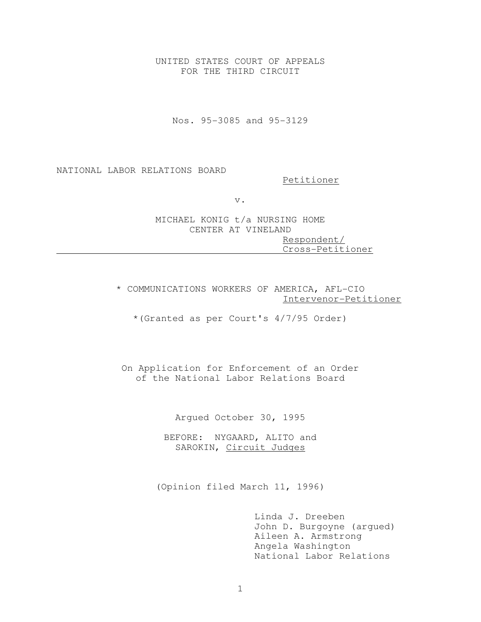UNITED STATES COURT OF APPEALS FOR THE THIRD CIRCUIT

Nos. 95-3085 and 95-3129

NATIONAL LABOR RELATIONS BOARD

Petitioner

v.

MICHAEL KONIG t/a NURSING HOME CENTER AT VINELAND Respondent/ Cross-Petitioner

\* COMMUNICATIONS WORKERS OF AMERICA, AFL-CIO Intervenor-Petitioner

\*(Granted as per Court's 4/7/95 Order)

On Application for Enforcement of an Order of the National Labor Relations Board

Argued October 30, 1995

BEFORE: NYGAARD, ALITO and SAROKIN, Circuit Judges

(Opinion filed March 11, 1996)

 Linda J. Dreeben John D. Burgoyne (argued) Aileen A. Armstrong Angela Washington National Labor Relations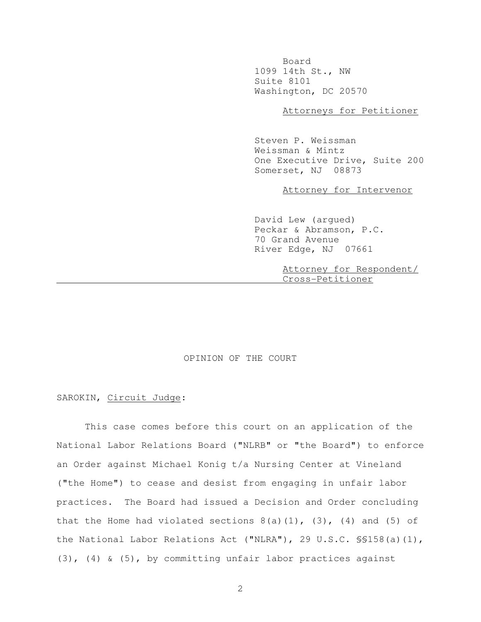Board 1099 14th St., NW Suite 8101 Washington, DC 20570

Attorneys for Petitioner

 Steven P. Weissman Weissman & Mintz One Executive Drive, Suite 200 Somerset, NJ 08873

Attorney for Intervenor

 David Lew (argued) Peckar & Abramson, P.C. 70 Grand Avenue River Edge, NJ 07661

> Attorney for Respondent/ Cross-Petitioner

## OPINION OF THE COURT

## SAROKIN, Circuit Judge:

 This case comes before this court on an application of the National Labor Relations Board ("NLRB" or "the Board") to enforce an Order against Michael Konig t/a Nursing Center at Vineland ("the Home") to cease and desist from engaging in unfair labor practices. The Board had issued a Decision and Order concluding that the Home had violated sections  $8(a)(1)$ ,  $(3)$ ,  $(4)$  and  $(5)$  of the National Labor Relations Act ("NLRA"), 29 U.S.C. §§158(a)(1), (3), (4) & (5), by committing unfair labor practices against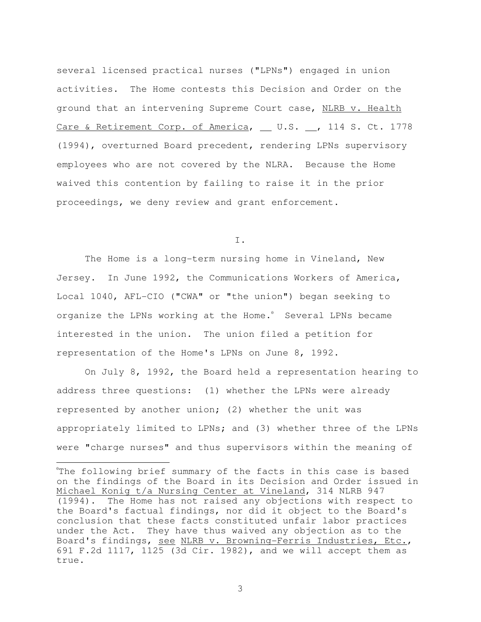several licensed practical nurses ("LPNs") engaged in union activities. The Home contests this Decision and Order on the ground that an intervening Supreme Court case, NLRB v. Health Care & Retirement Corp. of America, \_ U.S. \_, 114 S. Ct. 1778 (1994), overturned Board precedent, rendering LPNs supervisory employees who are not covered by the NLRA. Because the Home waived this contention by failing to raise it in the prior proceedings, we deny review and grant enforcement.

I.

 The Home is a long-term nursing home in Vineland, New Jersey. In June 1992, the Communications Workers of America, Local 1040, AFL-CIO ("CWA" or "the union") began seeking to organize the LPNs working at the Home.<sup>0</sup> Several LPNs became interested in the union. The union filed a petition for representation of the Home's LPNs on June 8, 1992.

 On July 8, 1992, the Board held a representation hearing to address three questions: (1) whether the LPNs were already represented by another union; (2) whether the unit was appropriately limited to LPNs; and (3) whether three of the LPNs were "charge nurses" and thus supervisors within the meaning of

l

<sup>&</sup>lt;sup>o</sup>The following brief summary of the facts in this case is based on the findings of the Board in its Decision and Order issued in Michael Konig t/a Nursing Center at Vineland, 314 NLRB 947 (1994). The Home has not raised any objections with respect to the Board's factual findings, nor did it object to the Board's conclusion that these facts constituted unfair labor practices under the Act. They have thus waived any objection as to the Board's findings, see NLRB v. Browning-Ferris Industries, Etc., 691 F.2d 1117, 1125 (3d Cir. 1982), and we will accept them as true.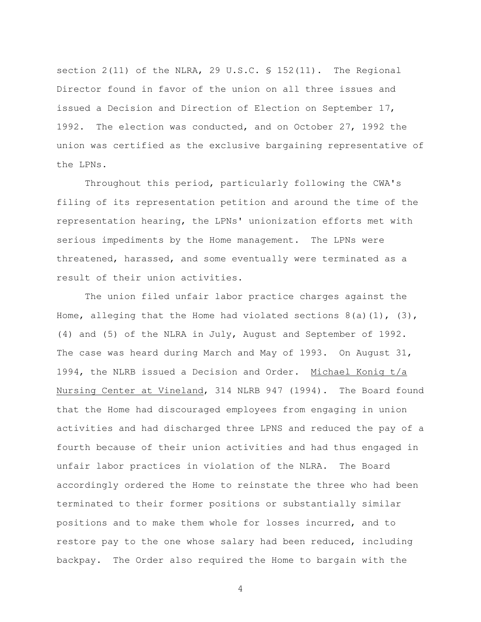section 2(11) of the NLRA, 29 U.S.C. § 152(11). The Regional Director found in favor of the union on all three issues and issued a Decision and Direction of Election on September 17, 1992. The election was conducted, and on October 27, 1992 the union was certified as the exclusive bargaining representative of the LPNs.

 Throughout this period, particularly following the CWA's filing of its representation petition and around the time of the representation hearing, the LPNs' unionization efforts met with serious impediments by the Home management. The LPNs were threatened, harassed, and some eventually were terminated as a result of their union activities.

 The union filed unfair labor practice charges against the Home, alleging that the Home had violated sections  $8(a)(1)$ ,  $(3)$ , (4) and (5) of the NLRA in July, August and September of 1992. The case was heard during March and May of 1993. On August 31, 1994, the NLRB issued a Decision and Order. Michael Konig t/a Nursing Center at Vineland, 314 NLRB 947 (1994). The Board found that the Home had discouraged employees from engaging in union activities and had discharged three LPNS and reduced the pay of a fourth because of their union activities and had thus engaged in unfair labor practices in violation of the NLRA. The Board accordingly ordered the Home to reinstate the three who had been terminated to their former positions or substantially similar positions and to make them whole for losses incurred, and to restore pay to the one whose salary had been reduced, including backpay. The Order also required the Home to bargain with the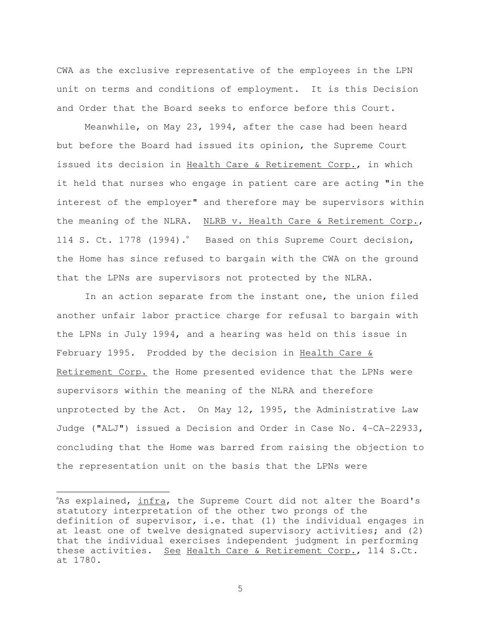CWA as the exclusive representative of the employees in the LPN unit on terms and conditions of employment. It is this Decision and Order that the Board seeks to enforce before this Court.

 Meanwhile, on May 23, 1994, after the case had been heard but before the Board had issued its opinion, the Supreme Court issued its decision in Health Care & Retirement Corp., in which it held that nurses who engage in patient care are acting "in the interest of the employer" and therefore may be supervisors within the meaning of the NLRA. NLRB v. Health Care & Retirement Corp., 114 S. Ct. 1778 (1994). Based on this Supreme Court decision, the Home has since refused to bargain with the CWA on the ground that the LPNs are supervisors not protected by the NLRA.

 In an action separate from the instant one, the union filed another unfair labor practice charge for refusal to bargain with the LPNs in July 1994, and a hearing was held on this issue in February 1995. Prodded by the decision in Health Care & Retirement Corp. the Home presented evidence that the LPNs were supervisors within the meaning of the NLRA and therefore unprotected by the Act. On May 12, 1995, the Administrative Law Judge ("ALJ") issued a Decision and Order in Case No. 4-CA-22933, concluding that the Home was barred from raising the objection to the representation unit on the basis that the LPNs were

֦

As explained, infra, the Supreme Court did not alter the Board's statutory interpretation of the other two prongs of the definition of supervisor, i.e. that (1) the individual engages in at least one of twelve designated supervisory activities; and (2) that the individual exercises independent judgment in performing these activities. See Health Care & Retirement Corp., 114 S.Ct. at 1780.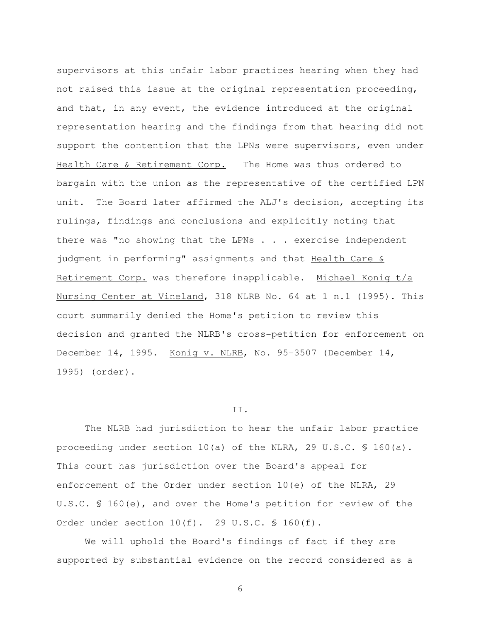supervisors at this unfair labor practices hearing when they had not raised this issue at the original representation proceeding, and that, in any event, the evidence introduced at the original representation hearing and the findings from that hearing did not support the contention that the LPNs were supervisors, even under Health Care & Retirement Corp. The Home was thus ordered to bargain with the union as the representative of the certified LPN unit. The Board later affirmed the ALJ's decision, accepting its rulings, findings and conclusions and explicitly noting that there was "no showing that the LPNs . . . exercise independent judgment in performing" assignments and that Health Care & Retirement Corp. was therefore inapplicable. Michael Konig t/a Nursing Center at Vineland, 318 NLRB No. 64 at 1 n.1 (1995). This court summarily denied the Home's petition to review this decision and granted the NLRB's cross-petition for enforcement on December 14, 1995. Konig v. NLRB, No. 95-3507 (December 14, 1995) (order).

#### II.

 The NLRB had jurisdiction to hear the unfair labor practice proceeding under section 10(a) of the NLRA, 29 U.S.C. § 160(a). This court has jurisdiction over the Board's appeal for enforcement of the Order under section 10(e) of the NLRA, 29 U.S.C. § 160(e), and over the Home's petition for review of the Order under section 10(f). 29 U.S.C. § 160(f).

 We will uphold the Board's findings of fact if they are supported by substantial evidence on the record considered as a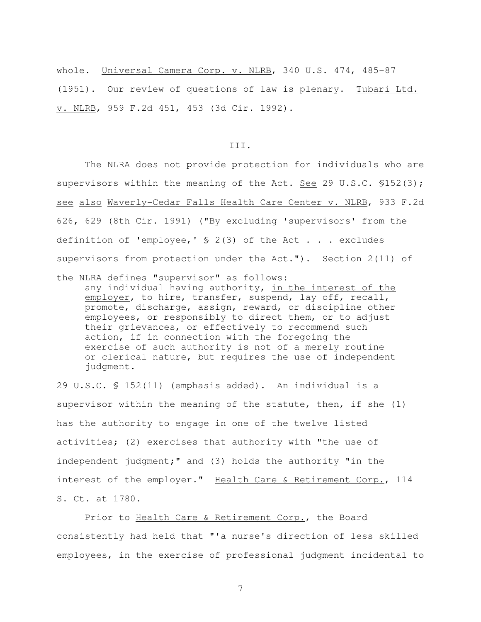whole. Universal Camera Corp. v. NLRB, 340 U.S. 474, 485-87 (1951). Our review of questions of law is plenary. Tubari Ltd. v. NLRB, 959 F.2d 451, 453 (3d Cir. 1992).

#### III.

 The NLRA does not provide protection for individuals who are supervisors within the meaning of the Act. See 29 U.S.C. §152(3); see also Waverly-Cedar Falls Health Care Center v. NLRB, 933 F.2d 626, 629 (8th Cir. 1991) ("By excluding 'supervisors' from the definition of 'employee,'  $\S$  2(3) of the Act . . . excludes supervisors from protection under the Act."). Section 2(11) of

the NLRA defines "supervisor" as follows: any individual having authority, in the interest of the employer, to hire, transfer, suspend, lay off, recall, promote, discharge, assign, reward, or discipline other employees, or responsibly to direct them, or to adjust their grievances, or effectively to recommend such action, if in connection with the foregoing the exercise of such authority is not of a merely routine or clerical nature, but requires the use of independent judgment.

29 U.S.C. § 152(11) (emphasis added). An individual is a supervisor within the meaning of the statute, then, if she (1) has the authority to engage in one of the twelve listed activities; (2) exercises that authority with "the use of independent judgment;" and (3) holds the authority "in the interest of the employer." Health Care & Retirement Corp., 114 S. Ct. at 1780.

 Prior to Health Care & Retirement Corp., the Board consistently had held that "'a nurse's direction of less skilled employees, in the exercise of professional judgment incidental to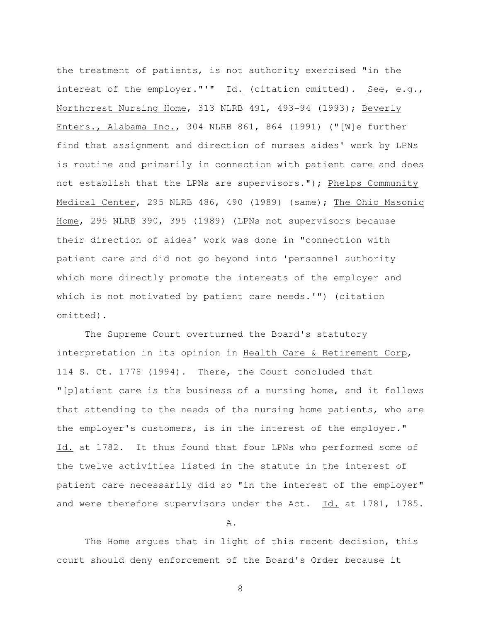the treatment of patients, is not authority exercised "in the interest of the employer."'"  $Id.$  (citation omitted). See, e.g., Northcrest Nursing Home, 313 NLRB 491, 493-94 (1993); Beverly Enters., Alabama Inc., 304 NLRB 861, 864 (1991) ("[W]e further find that assignment and direction of nurses aides' work by LPNs is routine and primarily in connection with patient care and does not establish that the LPNs are supervisors."); Phelps Community Medical Center, 295 NLRB 486, 490 (1989) (same); The Ohio Masonic Home, 295 NLRB 390, 395 (1989) (LPNs not supervisors because their direction of aides' work was done in "connection with patient care and did not go beyond into 'personnel authority which more directly promote the interests of the employer and which is not motivated by patient care needs.'") (citation omitted).

 The Supreme Court overturned the Board's statutory interpretation in its opinion in Health Care & Retirement Corp, 114 S. Ct. 1778 (1994). There, the Court concluded that "[p]atient care is the business of a nursing home, and it follows that attending to the needs of the nursing home patients, who are the employer's customers, is in the interest of the employer." Id. at 1782. It thus found that four LPNs who performed some of the twelve activities listed in the statute in the interest of patient care necessarily did so "in the interest of the employer" and were therefore supervisors under the Act.  $Id.$  at 1781, 1785.

A.

 The Home argues that in light of this recent decision, this court should deny enforcement of the Board's Order because it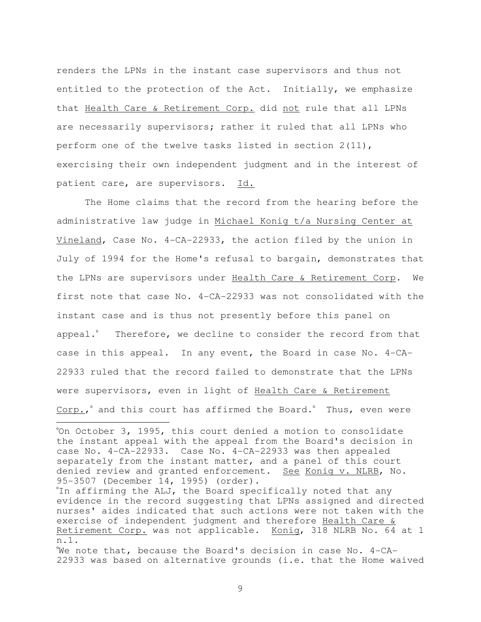renders the LPNs in the instant case supervisors and thus not entitled to the protection of the Act. Initially, we emphasize that Health Care & Retirement Corp. did not rule that all LPNs are necessarily supervisors; rather it ruled that all LPNs who perform one of the twelve tasks listed in section 2(11), exercising their own independent judgment and in the interest of patient care, are supervisors. Id.

 The Home claims that the record from the hearing before the administrative law judge in Michael Konig t/a Nursing Center at Vineland, Case No. 4-CA-22933, the action filed by the union in July of 1994 for the Home's refusal to bargain, demonstrates that the LPNs are supervisors under Health Care & Retirement Corp. We first note that case No. 4-CA-22933 was not consolidated with the instant case and is thus not presently before this panel on appeal. $\degree$  Therefore, we decline to consider the record from that case in this appeal. In any event, the Board in case No. 4-CA-22933 ruled that the record failed to demonstrate that the LPNs were supervisors, even in light of Health Care & Retirement Corp., and this court has affirmed the Board. Thus, even were

L

<sup>°</sup>On October 3, 1995, this court denied a motion to consolidate the instant appeal with the appeal from the Board's decision in case No. 4-CA-22933. Case No. 4-CA-22933 was then appealed separately from the instant matter, and a panel of this court denied review and granted enforcement. See Konig v. NLRB, No. 95-3507 (December 14, 1995) (order).

<sup>&#</sup>x27;In affirming the ALJ, the Board specifically noted that any evidence in the record suggesting that LPNs assigned and directed nurses' aides indicated that such actions were not taken with the exercise of independent judgment and therefore Health Care & Retirement Corp. was not applicable. Konig, 318 NLRB No. 64 at 1 n.1.

We note that, because the Board's decision in case No. 4-CA-22933 was based on alternative grounds (i.e. that the Home waived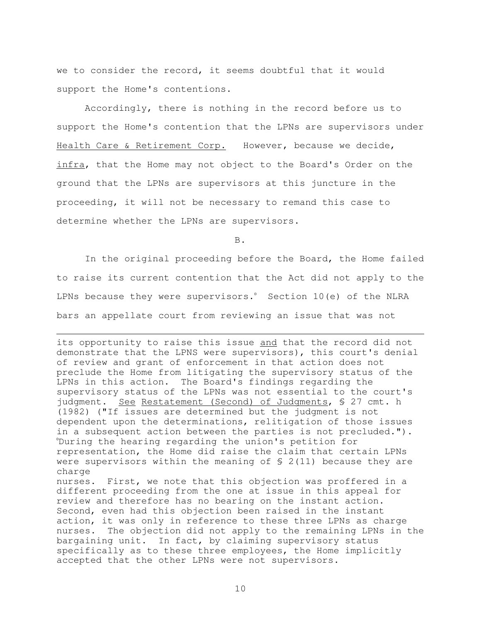we to consider the record, it seems doubtful that it would support the Home's contentions.

 Accordingly, there is nothing in the record before us to support the Home's contention that the LPNs are supervisors under Health Care & Retirement Corp. However, because we decide, infra, that the Home may not object to the Board's Order on the ground that the LPNs are supervisors at this juncture in the proceeding, it will not be necessary to remand this case to determine whether the LPNs are supervisors.

B.

 In the original proceeding before the Board, the Home failed to raise its current contention that the Act did not apply to the LPNs because they were supervisors. $\degree$  Section 10(e) of the NLRA bars an appellate court from reviewing an issue that was not

 $\overline{a}$ 

its opportunity to raise this issue and that the record did not demonstrate that the LPNS were supervisors), this court's denial of review and grant of enforcement in that action does not preclude the Home from litigating the supervisory status of the LPNs in this action. The Board's findings regarding the supervisory status of the LPNs was not essential to the court's judgment. See Restatement (Second) of Judgments, § 27 cmt. h (1982) ("If issues are determined but the judgment is not dependent upon the determinations, relitigation of those issues in a subsequent action between the parties is not precluded."). <sup>0</sup>During the hearing regarding the union's petition for representation, the Home did raise the claim that certain LPNs were supervisors within the meaning of  $S$  2(11) because they are charge nurses. First, we note that this objection was proffered in a different proceeding from the one at issue in this appeal for review and therefore has no bearing on the instant action. Second, even had this objection been raised in the instant action, it was only in reference to these three LPNs as charge nurses. The objection did not apply to the remaining LPNs in the bargaining unit. In fact, by claiming supervisory status specifically as to these three employees, the Home implicitly accepted that the other LPNs were not supervisors.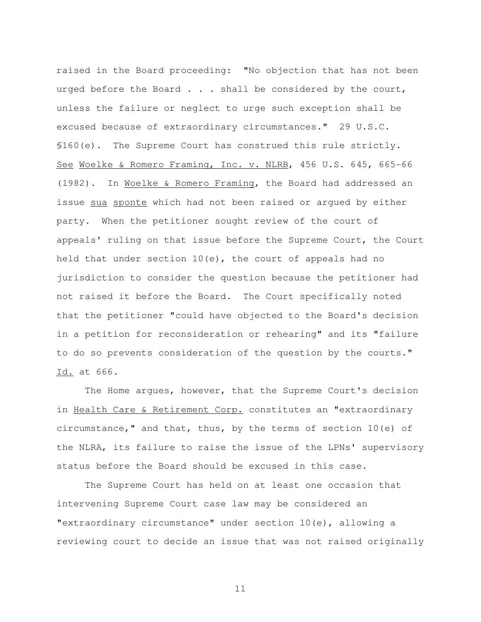raised in the Board proceeding: "No objection that has not been urged before the Board . . . shall be considered by the court, unless the failure or neglect to urge such exception shall be excused because of extraordinary circumstances." 29 U.S.C. §160(e). The Supreme Court has construed this rule strictly. See Woelke & Romero Framing, Inc. v. NLRB, 456 U.S. 645, 665-66 (1982). In Woelke & Romero Framing, the Board had addressed an issue sua sponte which had not been raised or argued by either party. When the petitioner sought review of the court of appeals' ruling on that issue before the Supreme Court, the Court held that under section 10(e), the court of appeals had no jurisdiction to consider the question because the petitioner had not raised it before the Board. The Court specifically noted that the petitioner "could have objected to the Board's decision in a petition for reconsideration or rehearing" and its "failure to do so prevents consideration of the question by the courts." Id. at 666.

 The Home argues, however, that the Supreme Court's decision in Health Care & Retirement Corp. constitutes an "extraordinary circumstance," and that, thus, by the terms of section 10(e) of the NLRA, its failure to raise the issue of the LPNs' supervisory status before the Board should be excused in this case.

 The Supreme Court has held on at least one occasion that intervening Supreme Court case law may be considered an "extraordinary circumstance" under section 10(e), allowing a reviewing court to decide an issue that was not raised originally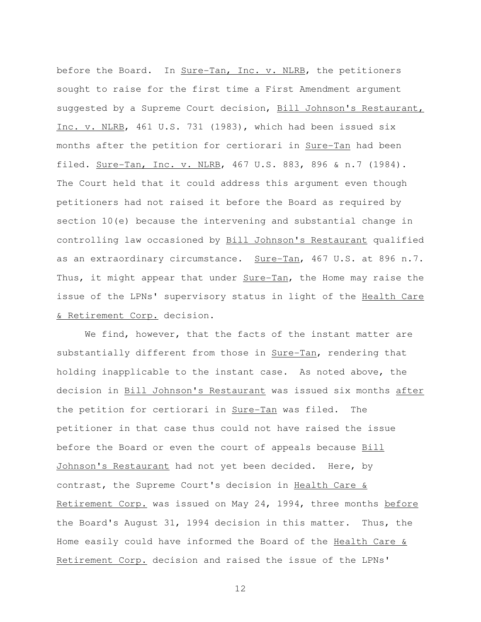before the Board. In Sure-Tan, Inc. v. NLRB, the petitioners sought to raise for the first time a First Amendment argument suggested by a Supreme Court decision, Bill Johnson's Restaurant, Inc. v. NLRB, 461 U.S. 731 (1983), which had been issued six months after the petition for certiorari in Sure-Tan had been filed. Sure-Tan, Inc. v. NLRB, 467 U.S. 883, 896 & n.7 (1984). The Court held that it could address this argument even though petitioners had not raised it before the Board as required by section 10(e) because the intervening and substantial change in controlling law occasioned by Bill Johnson's Restaurant qualified as an extraordinary circumstance. Sure-Tan, 467 U.S. at 896 n.7. Thus, it might appear that under Sure-Tan, the Home may raise the issue of the LPNs' supervisory status in light of the Health Care & Retirement Corp. decision.

 We find, however, that the facts of the instant matter are substantially different from those in Sure-Tan, rendering that holding inapplicable to the instant case. As noted above, the decision in Bill Johnson's Restaurant was issued six months after the petition for certiorari in Sure-Tan was filed. The petitioner in that case thus could not have raised the issue before the Board or even the court of appeals because Bill Johnson's Restaurant had not yet been decided. Here, by contrast, the Supreme Court's decision in Health Care & Retirement Corp. was issued on May 24, 1994, three months before the Board's August 31, 1994 decision in this matter. Thus, the Home easily could have informed the Board of the Health Care & Retirement Corp. decision and raised the issue of the LPNs'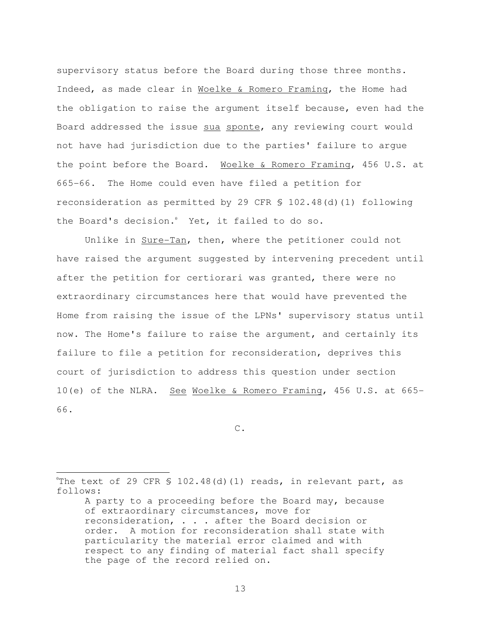supervisory status before the Board during those three months. Indeed, as made clear in Woelke & Romero Framing, the Home had the obligation to raise the argument itself because, even had the Board addressed the issue sua sponte, any reviewing court would not have had jurisdiction due to the parties' failure to argue the point before the Board. Woelke & Romero Framing, 456 U.S. at 665-66. The Home could even have filed a petition for reconsideration as permitted by 29 CFR § 102.48(d)(1) following the Board's decision.<sup>0</sup> Yet, it failed to do so.

Unlike in Sure-Tan, then, where the petitioner could not have raised the argument suggested by intervening precedent until after the petition for certiorari was granted, there were no extraordinary circumstances here that would have prevented the Home from raising the issue of the LPNs' supervisory status until now. The Home's failure to raise the argument, and certainly its failure to file a petition for reconsideration, deprives this court of jurisdiction to address this question under section 10(e) of the NLRA. See Woelke & Romero Framing, 456 U.S. at 665- 66.

C.

֦

<sup>&</sup>quot;The text of 29 CFR  $S$  102.48(d)(1) reads, in relevant part, as follows:

A party to a proceeding before the Board may, because of extraordinary circumstances, move for reconsideration, . . . after the Board decision or order. A motion for reconsideration shall state with particularity the material error claimed and with respect to any finding of material fact shall specify the page of the record relied on.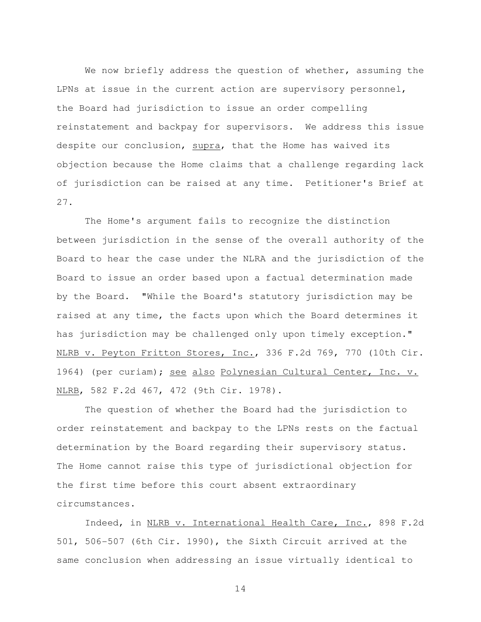We now briefly address the question of whether, assuming the LPNs at issue in the current action are supervisory personnel, the Board had jurisdiction to issue an order compelling reinstatement and backpay for supervisors. We address this issue despite our conclusion, supra, that the Home has waived its objection because the Home claims that a challenge regarding lack of jurisdiction can be raised at any time. Petitioner's Brief at 27.

 The Home's argument fails to recognize the distinction between jurisdiction in the sense of the overall authority of the Board to hear the case under the NLRA and the jurisdiction of the Board to issue an order based upon a factual determination made by the Board. "While the Board's statutory jurisdiction may be raised at any time, the facts upon which the Board determines it has jurisdiction may be challenged only upon timely exception." NLRB v. Peyton Fritton Stores, Inc., 336 F.2d 769, 770 (10th Cir. 1964) (per curiam); see also Polynesian Cultural Center, Inc. v. NLRB, 582 F.2d 467, 472 (9th Cir. 1978).

 The question of whether the Board had the jurisdiction to order reinstatement and backpay to the LPNs rests on the factual determination by the Board regarding their supervisory status. The Home cannot raise this type of jurisdictional objection for the first time before this court absent extraordinary circumstances.

 Indeed, in NLRB v. International Health Care, Inc., 898 F.2d 501, 506-507 (6th Cir. 1990), the Sixth Circuit arrived at the same conclusion when addressing an issue virtually identical to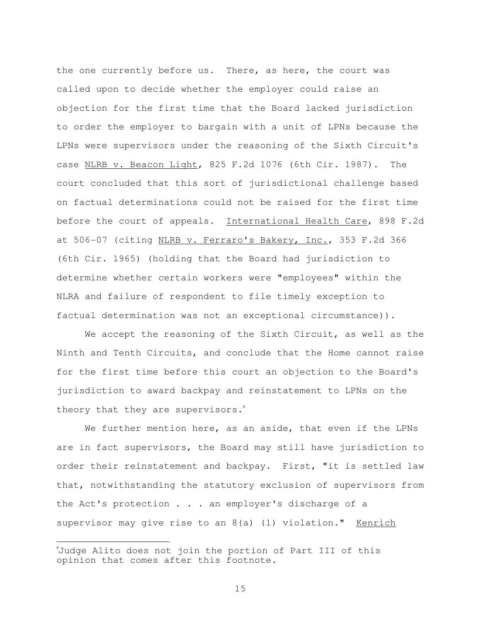the one currently before us. There, as here, the court was called upon to decide whether the employer could raise an objection for the first time that the Board lacked jurisdiction to order the employer to bargain with a unit of LPNs because the LPNs were supervisors under the reasoning of the Sixth Circuit's case NLRB v. Beacon Light, 825 F.2d 1076 (6th Cir. 1987). The court concluded that this sort of jurisdictional challenge based on factual determinations could not be raised for the first time before the court of appeals. International Health Care, 898 F.2d at 506-07 (citing NLRB v. Ferraro's Bakery, Inc., 353 F.2d 366 (6th Cir. 1965) (holding that the Board had jurisdiction to determine whether certain workers were "employees" within the NLRA and failure of respondent to file timely exception to factual determination was not an exceptional circumstance)).

We accept the reasoning of the Sixth Circuit, as well as the Ninth and Tenth Circuits, and conclude that the Home cannot raise for the first time before this court an objection to the Board's jurisdiction to award backpay and reinstatement to LPNs on the theory that they are supervisors.<sup>0</sup>

We further mention here, as an aside, that even if the LPNs are in fact supervisors, the Board may still have jurisdiction to order their reinstatement and backpay. First, "it is settled law that, notwithstanding the statutory exclusion of supervisors from the Act's protection . . . an employer's discharge of a supervisor may give rise to an  $8(a)$  (1) violation." Kenrich

֦

Uudge Alito does not join the portion of Part III of this opinion that comes after this footnote.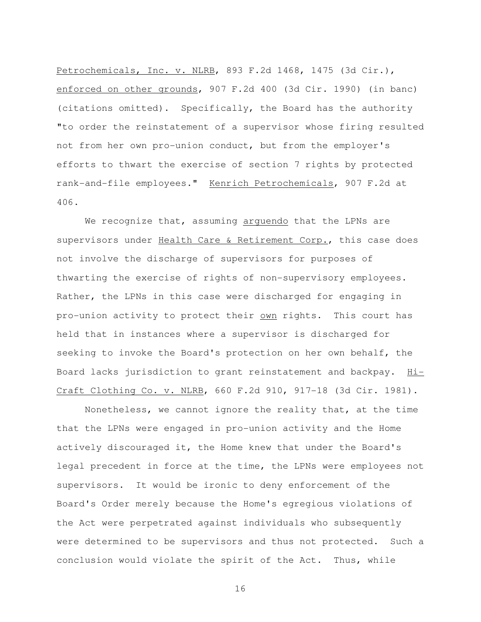Petrochemicals, Inc. v. NLRB, 893 F.2d 1468, 1475 (3d Cir.), enforced on other grounds, 907 F.2d 400 (3d Cir. 1990) (in banc) (citations omitted). Specifically, the Board has the authority "to order the reinstatement of a supervisor whose firing resulted not from her own pro-union conduct, but from the employer's efforts to thwart the exercise of section 7 rights by protected rank-and-file employees." Kenrich Petrochemicals, 907 F.2d at 406.

We recognize that, assuming arquendo that the LPNs are supervisors under Health Care & Retirement Corp., this case does not involve the discharge of supervisors for purposes of thwarting the exercise of rights of non-supervisory employees. Rather, the LPNs in this case were discharged for engaging in pro-union activity to protect their own rights. This court has held that in instances where a supervisor is discharged for seeking to invoke the Board's protection on her own behalf, the Board lacks jurisdiction to grant reinstatement and backpay. Hi-Craft Clothing Co. v. NLRB, 660 F.2d 910, 917-18 (3d Cir. 1981).

 Nonetheless, we cannot ignore the reality that, at the time that the LPNs were engaged in pro-union activity and the Home actively discouraged it, the Home knew that under the Board's legal precedent in force at the time, the LPNs were employees not supervisors. It would be ironic to deny enforcement of the Board's Order merely because the Home's egregious violations of the Act were perpetrated against individuals who subsequently were determined to be supervisors and thus not protected. Such a conclusion would violate the spirit of the Act. Thus, while